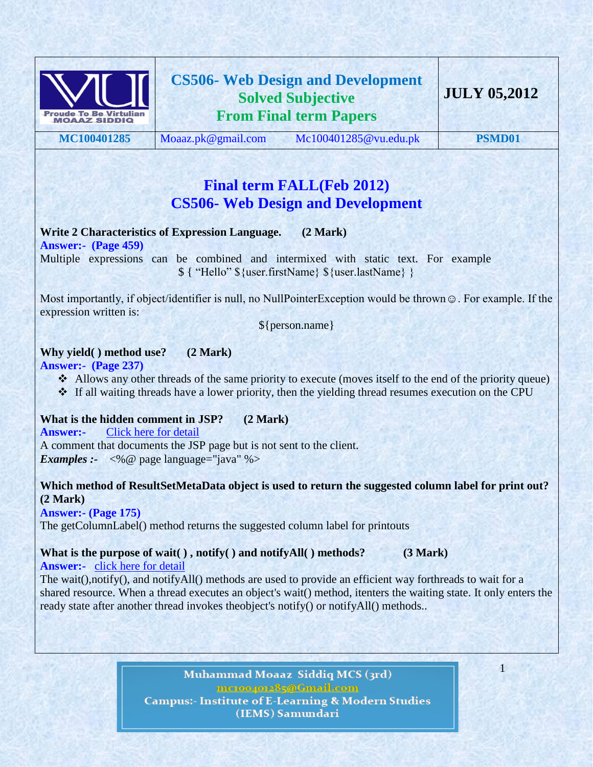

## **Final term FALL(Feb 2012) CS506- Web Design and Development**

### **Write 2 Characteristics of Expression Language. (2 Mark)**

**Answer:- (Page 459)**

Multiple expressions can be combined and intermixed with static text. For example  $\{\$ 'Hello'' \{} user.firstName\} \{user.lastName} }

Most importantly, if object/identifier is null, no NullPointerException would be thrown ☺. For example. If the expression written is:

\${person.name}

## **Why yield( ) method use? (2 Mark)**

**Answer:- (Page 237)**

- $\triangle$  Allows any other threads of the same priority to execute (moves itself to the end of the priority queue)
- If all waiting threads have a lower priority, then the yielding thread resumes execution on the CPU

### **What is the hidden comment in JSP? (2 Mark)**

**Answer:-** [Click here for detail](http://www.java-samples.com/showtutorial.php?tutorialid=833) A comment that documents the JSP page but is not sent to the client. *Examples* :-  $\langle % \rangle$  page language="java" %>

### **Which method of ResultSetMetaData object is used to return the suggested column label for print out? (2 Mark)**

**Answer:- (Page 175)** 

The getColumnLabel() method returns the suggested column label for printouts

## What is the purpose of wait(), notify() and notifyAll() methods? (3 Mark)

**Answer:-** [click here for detail](http://www.geekinterview.com/question_details/73)

The wait(),notify(), and notifyAll() methods are used to provide an efficient way forthreads to wait for a shared resource. When a thread executes an object's wait() method, itenters the waiting state. It only enters the ready state after another thread invokes theobject's notify() or notifyAll() methods..

> Muhammad Moaaz Siddiq MCS (3rd) me.compoz85@Cmail.com **Campus:- Institute of E-Learning & Modern Studies** (IEMS) Samundari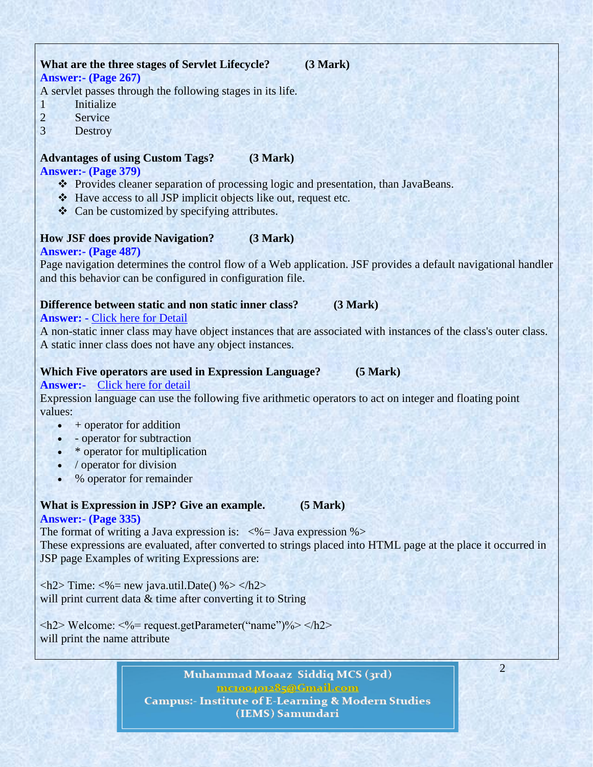### **What are the three stages of Servlet Lifecycle? (3 Mark) Answer:- (Page 267)**

A servlet passes through the following stages in its life.

- 1 Initialize
- 2 Service
- 3 Destroy

### **Advantages of using Custom Tags? (3 Mark)**

### **Answer:- (Page 379)**

- Provides cleaner separation of processing logic and presentation, than JavaBeans.
- Have access to all JSP implicit objects like out, request etc.
- ❖ Can be customized by specifying attributes.

### **How JSF does provide Navigation? (3 Mark)**

### **Answer:- (Page 487)**

Page navigation determines the control flow of a Web application. JSF provides a default navigational handler and this behavior can be configured in configuration file.

### **Difference between static and non static inner class? (3 Mark)**

### **Answer: -** [Click here for Detail](http://www.roseindia.net/interviewquestions/corejava/menu-bar.shtml)

A non-static inner class may have object instances that are associated with instances of the class's outer class. A static inner class does not have any object instances.

### **Which Five operators are used in Expression Language? (5 Mark)**

#### **Answer:-** [Click here for detail](http://www.ibm.com/developerworks/java/tutorials/j-introjsp/section13.html)

Expression language can use the following five arithmetic operators to act on integer and floating point values:

- $\bullet$  + operator for addition
- operator for subtraction
- \* operator for multiplication
- / operator for division
- % operator for remainder

## **What is Expression in JSP? Give an example. (5 Mark)**

#### **Answer:- (Page 335)**

The format of writing a Java expression is:  $\langle\% = \text{Java expression } \% \rangle$ These expressions are evaluated, after converted to strings placed into HTML page at the place it occurred in JSP page Examples of writing Expressions are:

 $\langle h2 \rangle$  Time:  $\langle % \rangle$  new java.util.Date() %>  $\langle h2 \rangle$ will print current data & time after converting it to String

 $\langle h2 \rangle$  Welcome:  $\langle % \rangle$  request.getParameter("name")%  $\langle h2 \rangle$ will print the name attribute

> Muhammad Moaaz Siddiq MCS (3rd) metoo4ote85@Cmail.com **Campus:- Institute of E-Learning & Modern Studies** (IEMS) Samundari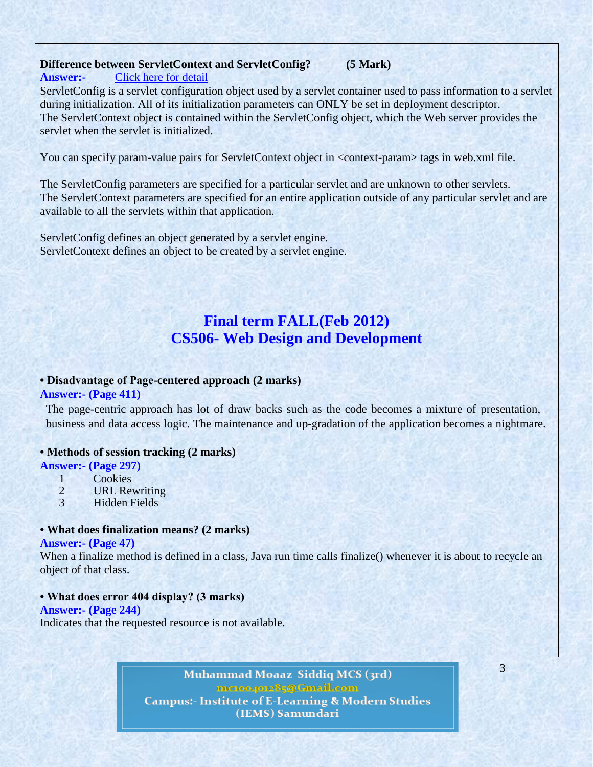#### **Difference between ServletContext and ServletConfig? (5 Mark) Answer:-** [Click here for detail](http://www.coolinterview.com/interview/5851/)

ServletConfig is a servlet configuration object used by a servlet container used to pass information to a servlet during initialization. All of its initialization parameters can ONLY be set in deployment descriptor. The ServletContext object is contained within the ServletConfig object, which the Web server provides the servlet when the servlet is initialized.

You can specify param-value pairs for ServletContext object in <context-param> tags in web.xml file.

The ServletConfig parameters are specified for a particular servlet and are unknown to other servlets. The ServletContext parameters are specified for an entire application outside of any particular servlet and are available to all the servlets within that application.

ServletConfig defines an object generated by a servlet engine. ServletContext defines an object to be created by a servlet engine.

## **Final term FALL(Feb 2012) CS506- Web Design and Development**

### **• Disadvantage of Page-centered approach (2 marks)**

#### **Answer:- (Page 411)**

The page-centric approach has lot of draw backs such as the code becomes a mixture of presentation, business and data access logic. The maintenance and up-gradation of the application becomes a nightmare.

#### **• Methods of session tracking (2 marks)**

#### **Answer:- (Page 297)**

- 1 Cookies<br>2 URL Rev
- 2 URL Rewriting<br>3 Hidden Fields
- 3 Hidden Fields

### **• What does finalization means? (2 marks)**

#### **Answer:- (Page 47)**

When a finalize method is defined in a class, Java run time calls finalize() whenever it is about to recycle an object of that class.

#### **• What does error 404 display? (3 marks)**

#### **Answer:- (Page 244)**

Indicates that the requested resource is not available.

Muhammad Moaaz Siddiq MCS (3rd) metoogote85@Cmail.com **Campus:- Institute of E-Learning & Modern Studies** (IEMS) Samundari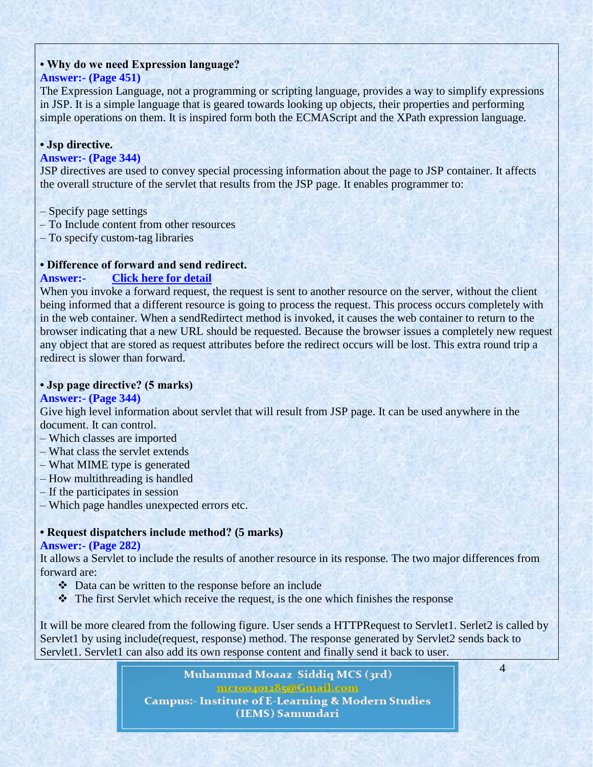### **• Why do we need Expression language?**

### **Answer:- (Page 451)**

The Expression Language, not a programming or scripting language, provides a way to simplify expressions in JSP. It is a simple language that is geared towards looking up objects, their properties and performing simple operations on them. It is inspired form both the ECMAScript and the XPath expression language.

### **• Jsp directive.**

### **Answer:- (Page 344)**

JSP directives are used to convey special processing information about the page to JSP container. It affects the overall structure of the servlet that results from the JSP page. It enables programmer to:

- Specify page settings
- To Include content from other resources
- To specify custom-tag libraries

### **• Difference of forward and send redirect.**

### **Answer:- [Click here for detail](http://www.java-samples.com/showtutorial.php?tutorialid=831)**

When you invoke a forward request, the request is sent to another resource on the server, without the client being informed that a different resource is going to process the request. This process occurs completely with in the web container. When a sendRedirtect method is invoked, it causes the web container to return to the browser indicating that a new URL should be requested. Because the browser issues a completely new request any object that are stored as request attributes before the redirect occurs will be lost. This extra round trip a redirect is slower than forward.

### **• Jsp page directive? (5 marks)**

#### **Answer:- (Page 344)**

Give high level information about servlet that will result from JSP page. It can be used anywhere in the document. It can control.

- Which classes are imported
- What class the servlet extends
- What MIME type is generated
- How multithreading is handled
- If the participates in session
- Which page handles unexpected errors etc.

### **• Request dispatchers include method? (5 marks)**

#### **Answer:- (Page 282)**

It allows a Servlet to include the results of another resource in its response. The two major differences from forward are:

- Data can be written to the response before an include
- The first Servlet which receive the request, is the one which finishes the response

It will be more cleared from the following figure. User sends a HTTPRequest to Servlet1. Serlet2 is called by Servlet1 by using include(request, response) method. The response generated by Servlet2 sends back to Servlet1. Servlet1 can also add its own response content and finally send it back to user.

4

Muhammad Moaaz Siddiq MCS (3rd) metoogote85@Cmail.com **Campus:- Institute of E-Learning & Modern Studies** (IEMS) Samundari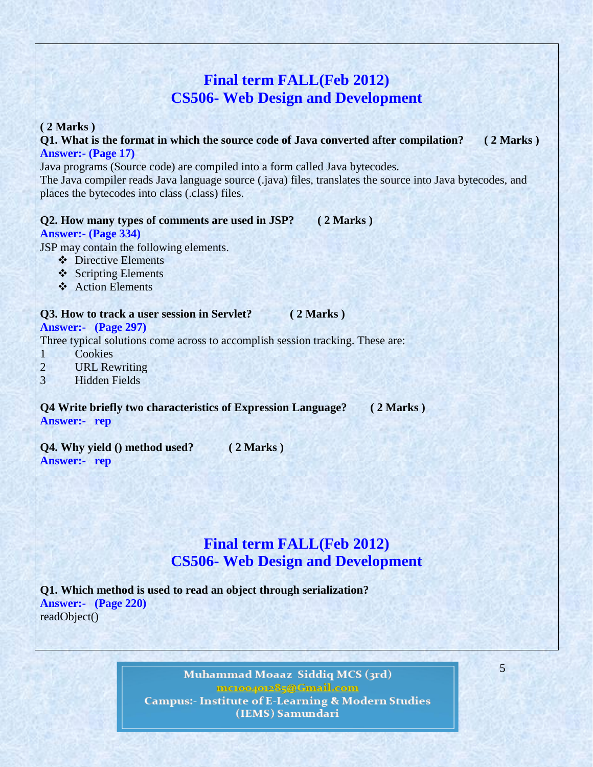## **Final term FALL(Feb 2012) CS506- Web Design and Development**

#### **( 2 Marks )**

**Q1. What is the format in which the source code of Java converted after [co](http://www.vuzs.net/)mpilation? ( 2 Marks ) Answer:- (Page 17)**

Java programs (Source code) are compiled into a form called Java bytecodes. The Java compiler reads Java language source (.java) files, translates the source into Java bytecodes, and places the bytecodes into class (.class) files.

#### **Q2. How many types of comments are used in JSP? ( 2 Marks )**

**Answer:- (Page 334)**

JSP may contain the following elements.

- ❖ Directive Elements
- ❖ Scripting Elements
- **❖** Action Elements

#### **Q3. How to track a user session in Servlet? ( 2 Marks )**

#### **Answer:- (Page 297)**

Three typical solutions come across to accomplish session tracking. These are:

- 1 Cookies
- 2 URL Rewriting
- 3 Hidden Fields

**Q4 Write briefly two characteristics of Expression Language? ( 2 Marks ) Answer:- rep**

**Q4. Why yield () method used? ( 2 Marks ) Answer:- rep**

## **Final term FALL(Feb 2012) CS506- Web Design and Development**

**Q1. Which method is used to read an object through serialization? Answer:- (Page 220)** readObject()

> Muhammad Moaaz Siddiq MCS (3rd) metoogote85@Cmail.com **Campus:- Institute of E-Learning & Modern Studies** (IEMS) Samundari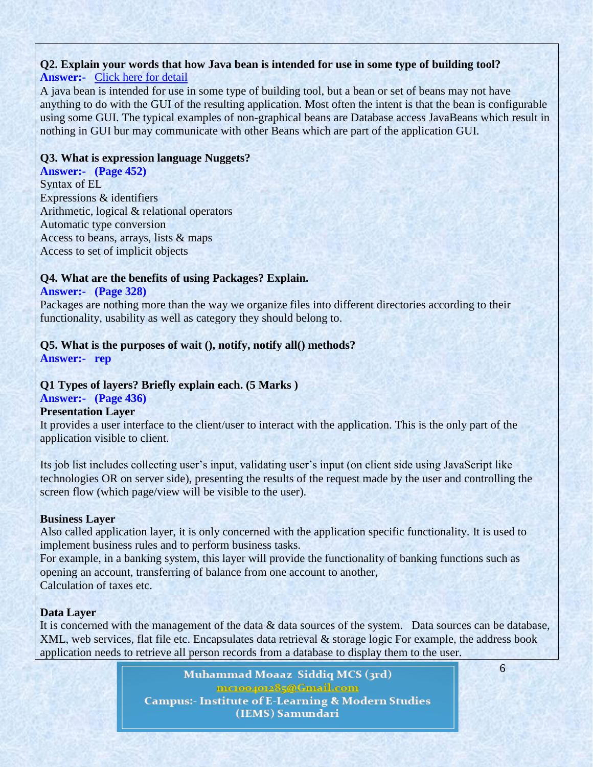## **Q2. Explain your words that how Java bean is intended for use in some type of building tool?**

## **Answer:-** [Click here for detail](http://www.scribd.com/doc/2417462/330-TIPS-JAVA)

A java bean is intended for use in some type of building tool, but a bean or set of beans may not have anything to do with the GUI of the resulting application. Most often the intent is that the bean is configurable using some GUI. The typical examples of non-graphical beans are Database access JavaBeans which result in nothing in GUI bur may communicate with other Beans which are part of the application GUI.

### **Q3. What is expression language Nuggets?**

**Answer:- (Page 452)** Syntax of EL Expressions & identifiers Arithmetic, logical & relational operators Automatic type conversion Access to beans, arrays, lists & maps Access to set of implicit objects

### **Q4. What are the benefits of using Packages? Explain.**

### **Answer:- (Page 328)**

Packages are nothing more than the way we organize files into different directories according to their functionality, usability as well as category they should belong to.

### **Q5. What is the purposes of wait (), notify, notify all() methods?**

**Answer:- rep**

### **Q1 Types of layers? Briefly explain each. (5 Marks )**

### **Answer:- (Page 436)**

### **Presentation Layer**

It provides a user interface to the client/user to interact with the application. This is the only part of the application visible to client.

Its job list includes collecting user's input, validating user's input (on client side using JavaScript like technologies OR on server side), presenting the results of the request made by the user and controlling the screen flow (which page/view will be visible to the user).

### **Business Layer**

Also called application layer, it is only concerned with the application specific functionality. It is used to implement business rules and to perform business tasks.

For example, in a banking system, this layer will provide the functionality of banking functions such as opening an account, transferring of balance from one account to another, Calculation of taxes etc.

## **Data Layer**

It is concerned with the management of the data & data sources of the system. Data sources can be database, XML, web services, flat file etc. Encapsulates data retrieval & storage logic For example, the address book application needs to retrieve all person records from a database to display them to the user.

> Muhammad Moaaz Siddiq MCS (3rd) metoogote85@Cmail.com **Campus:- Institute of E-Learning & Modern Studies** (IEMS) Samundari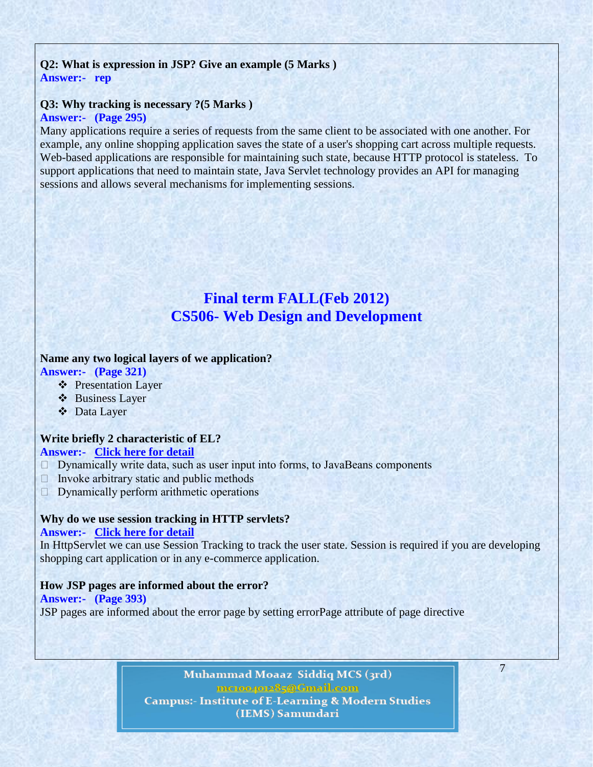### **Q2: What is expression in JSP? Give an example [\(5](http://www.vuzs.net/) Marks ) Answer:- rep**

## **Q3: Why tracking is necessary ?(5 Marks )**

### **Answer:- (Page 295)**

Many applications require a series of requests from the same client to be associated with one another. For example, any online shopping application saves the state of a user's shopping cart across multiple requests. Web-based applications are responsible for maintaining such state, because HTTP protocol is stateless. To support applications that need to maintain state, Java Servlet technology provides an API for managing sessions and allows several mechanisms for implementing sessions.

## **Final term FALL(Feb 2012) CS506- Web Design and Development**

### **Name any two logical layers of we application?**

- **Answer:- (Page 321)**
	- ❖ Presentation Layer
	- Business Layer
	- Data Layer

#### **Write briefly 2 characteristic of EL? Answer:- [Click here for detail](http://docs.oracle.com/javaee/5/tutorial/doc/bnahq.html)**

- Dynamically write data, such as user input into forms, to JavaBeans components
- $\Box$  Invoke arbitrary static and public methods
- $\Box$  Dynamically perform arithmetic operations

#### **Why do we use session tracking in HTTP servlets?**

#### **Answer:- [Click here for detail](http://www.roseindia.net/interviewquestions/servlet/session-tracking.shtml)**

In HttpServlet we can use Session Tracking to track the user state. Session is required if you are developing shopping cart application or in any e-commerce application.

#### **How JSP pages are informed about the error?**

### **Answer:- (Page 393)** JSP pages are informed about the error page by setting errorPage attribute of page directive

Muhammad Moaaz Siddiq MCS (3rd) metoogote85@Cmail.com **Campus:- Institute of E-Learning & Modern Studies** (IEMS) Samundari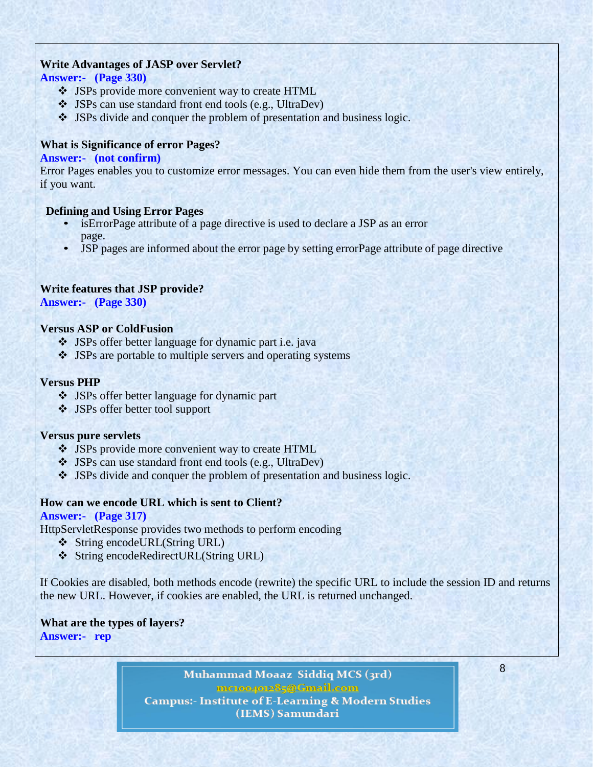### **Write Advantages of JASP over Servlet?**

### **Answer:- (Page 330)**

- JSPs provide more convenient way to create HTML
- JSPs can use standard front end tools (e.g., UltraDev)
- JSPs divide and conquer the problem of presentation and business logic.

### **What is Significance of error Pages?**

### **Answer:- (not confirm)**

Error Pages enables you to customize error messages. You can even hide them from the user's view entirely, if you want.

### **Defining and Using Error Pages**

- isErrorPage attribute of a page directive is used to declare a JSP as an error page.
- JSP pages are informed about the error page by setting errorPage attribute of page directive

### **Write features that JSP provide?**

**Answer:- (Page 330)**

### **Versus ASP or ColdFusion**

- JSPs offer better language for dynamic part i.e. java
- JSPs are portable to multiple servers and operating systems

### **Versus PHP**

- JSPs offer better language for dynamic part
- JSPs offer better tool support

### **Versus pure servlets**

- JSPs provide more convenient way to create HTML
- JSPs can use standard front end tools (e.g., UltraDev)
- JSPs divide and conquer the problem of presentation and business logic.

### **How can we encode URL which is sent to Client?**

### **Answer:- (Page 317)**

HttpServletResponse provides two methods to perform encoding

- String encodeURL(String URL)
- String encodeRedirectURL(String URL)

If Cookies are disabled, both methods encode (rewrite) the specific URL to include the session ID and returns the new URL. However, if cookies are enabled, the URL is returned unchanged.

### **What are the types of layers? Answer:- rep**

Muhammad Moaaz Siddiq MCS (3rd) metoo4ote85@Cmail.com **Campus:- Institute of E-Learning & Modern Studies** (IEMS) Samundari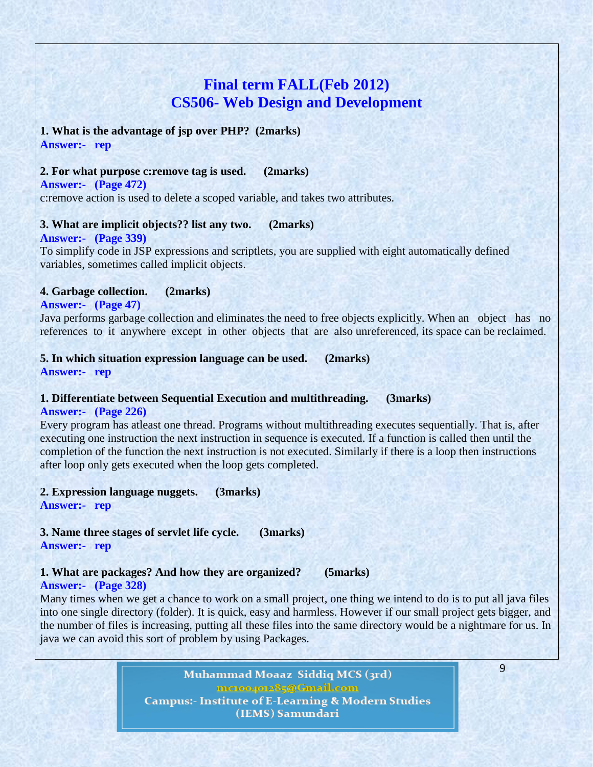## **Final term FALL(Feb 2012) CS506- Web Design and Development**

#### **1. What is the advantage of jsp over PHP? (2marks) Answer:- rep**

#### **2. For what purpose c:remove tag is used. (2marks)**

**Answer:- (Page 472)** c:remove action is used to delete a scoped variable, and takes two attributes.

#### **3. What are implicit objects?? list any two. (2marks)**

#### **Answer:- (Page 339)**

To simplify code in JSP expressions and scriptlets, you are supplied with eight automatically defined variables, sometimes called implicit objects.

#### **4. Garbage collection. (2marks)**

#### **Answer:- (Page 47)**

Java performs garbage collection and eliminates the need to free objects explicitly. When an object has no references to it anywhere except in other objects that are also unreferenced, its space can be reclaimed.

#### **5. In which situation expression language can be used. (2marks) Answer:- rep**

#### **1. Differentiate between Sequential Execution and multithreading. (3marks) Answer:- (Page 226)**

Every program has atleast one thread. Programs without multithreading executes sequentially. That is, after executing one instruction the next instruction in sequence is executed. If a function is called then until the completion of the function the next instruction is not executed. Similarly if there is a loop then instructions after loop only gets executed when the loop gets completed.

**2. Expression language nuggets. (3marks)**

**Answer:- rep**

**3. Name three stages of servlet life cycle. (3marks) Answer:- rep**

#### **1. What are packages? And how they are organized? (5marks) Answer:- (Page 328)**

Many times when we get a chance to work on a small project, one thing we intend to do is to put all java files into one single directory (folder). It is quick, easy and harmless. However if our small project gets bigger, and the number of files is increasing, putting all these files into the same directory would be a nightmare for us. In java we can avoid this sort of problem by using Packages.

> Muhammad Moaaz Siddiq MCS (3rd) metoopote85@Cmail.com **Campus:- Institute of E-Learning & Modern Studies** (IEMS) Samundari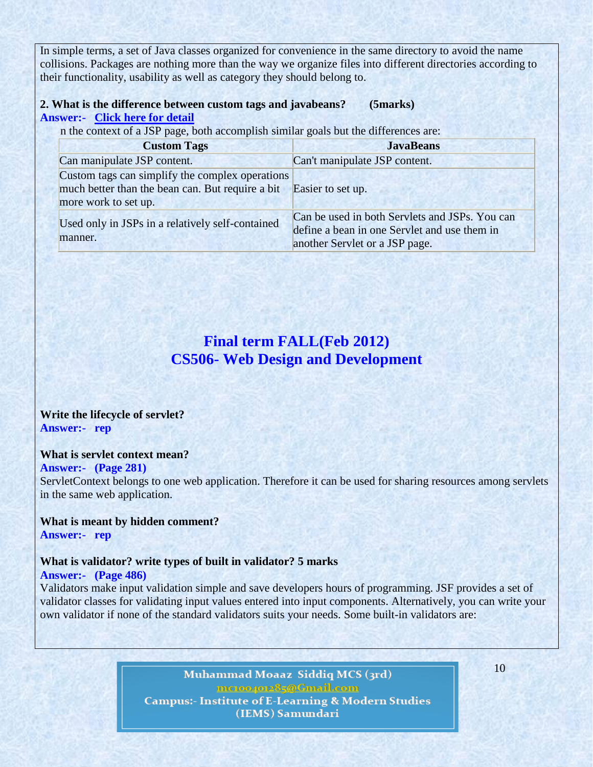In simple terms, a set of Java classes organized for convenience in the same directory to avoid the name collisions. Packages are nothing more than the way we organize files into different directories according to their functionality, usability as well as category they should belong to.

### **2. What is the difference between custom tags and javabeans? (5marks) Answer:- [Click here for detail](http://m1009160.blogspot.com/2011/04/what-is-difference-between-custom-jsp.html)**

n the context of a JSP page, both accomplish similar goals but the differences are:

| <b>Custom Tags</b>                                                 | <b>JavaBeans</b>                               |
|--------------------------------------------------------------------|------------------------------------------------|
| Can manipulate JSP content.                                        | Can't manipulate JSP content.                  |
| Custom tags can simplify the complex operations                    |                                                |
| much better than the bean can. But require a bit Easier to set up. |                                                |
| more work to set up.                                               |                                                |
| Used only in JSPs in a relatively self-contained<br>manner.        | Can be used in both Servlets and JSPs. You can |
|                                                                    | define a bean in one Servlet and use them in   |
|                                                                    | another Servlet or a JSP page.                 |

## **Final term FALL(Feb 2012) CS506- Web Design and Development**

### **Write the lifecycle of servlet? Answer:- rep**

#### **What is servlet context mean?**

#### **Answer:- (Page 281)**

ServletContext belongs to one web application. Therefore it can be used for sharing resources among servlets in the same web application.

## **What is meant by hidden comment?**

**Answer:- rep**

#### **What is validator? write types of built in validator? 5 marks Answer:- (Page 486)**

Validators make input validation simple and save developers hours of programming. JSF provides a set of validator classes for validating input values entered into input components. Alternatively, you can write your own validator if none of the standard validators suits your needs. Some built-in validators are:

> Muhammad Moaaz Siddiq MCS (3rd) me.com/me85@Gmail.com **Campus:- Institute of E-Learning & Modern Studies** (IEMS) Samundari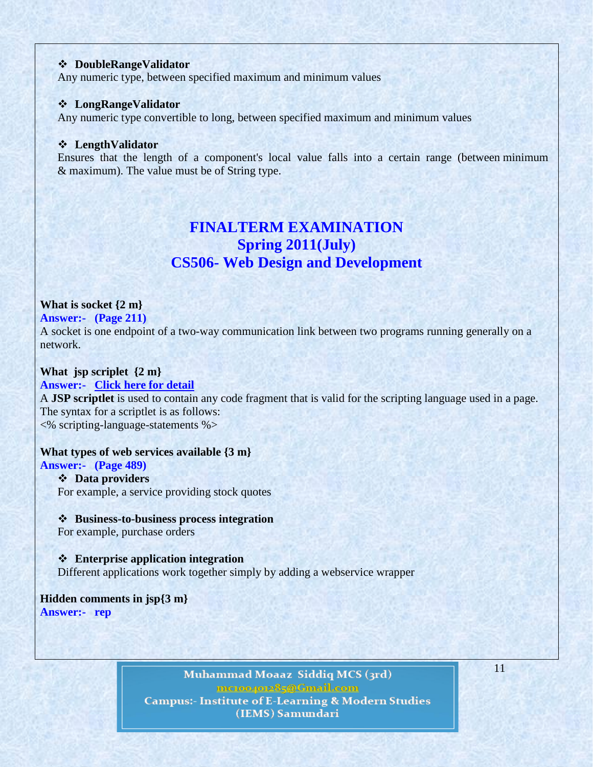#### **DoubleRangeValidator**

Any numeric type, between specified maximum and minimum values

#### **LongRangeValidator**

Any numeric type convertible to long, between specified maximum and minimum values

#### **LengthValidator**

Ensures that the length of a component's local value falls into a certain range (between minimum & maximum). The value must be of String type.

## **FINALTERM EXAMINATION Spring 2011(July) CS506- Web Design and Development**

#### **What is socket {2 m}**

#### **Answer:- (Page 211)**

A socket is one endpoint of a two-way communication link between two programs running generally on a network.

### **What jsp scriplet {2 m}**

#### **Answer:- [Click here for detail](http://docs.oracle.com/javaee/5/tutorial/doc/bnaou.html)**

A **JSP scriptlet** is used to contain any code fragment that is valid for the scripting language used in a page. The syntax for a scriptlet is as follows: <% scripting-language-statements %>

#### **What types of web services available {3 m}**

### **Answer:- (Page 489)**

#### **Data providers**

For example, a service providing stock quotes

#### **Business-to-business process integration**

For example, purchase orders

 **Enterprise application integration** Different applications work together simply by adding a webservice wrapper

#### **Hidden comments in jsp{3 m} Answer:- rep**

Muhammad Moaaz Siddiq MCS (3rd) metoo4ot285@Gmail.com **Campus:- Institute of E-Learning & Modern Studies** (IEMS) Samundari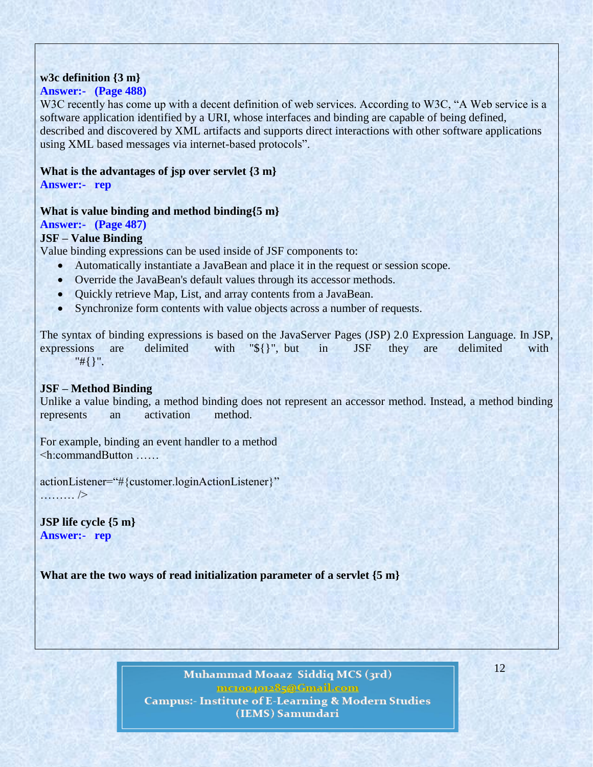### **w3c definition {3 m}**

### **Answer:- (Page 488)**

W3C recently has come up with a decent definition of web services. According to W3C, "A Web service is a software application identified by a URI, whose interfaces and binding are capable of being defined, described and discovered by XML artifacts and supports direct interactions with other software applications using XML based messages via internet-based protocols".

### **What is the advantages of jsp over servlet {3 m}**

**Answer:- rep**

### **What is value binding and method binding{5 m}**

### **Answer:- (Page 487)**

### **JSF – Value Binding**

Value binding expressions can be used inside of JSF components to:

- Automatically instantiate a JavaBean and place it in the request or session scope.
- Override the JavaBean's default values through its accessor methods.
- Quickly retrieve Map, List, and array contents from a JavaBean.
- Synchronize form contents with value objects across a number of requests.

The syntax of binding expressions is based on the JavaServer Pages (JSP) 2.0 Expression Language. In JSP, expressions are delimited with "\${}", but in JSF they are delimited with "#{}".

### **JSF – Method Binding**

Unlike a value binding, a method binding does not represent an accessor method. Instead, a method binding represents an activation method.

For example, binding an event handler to a method <h:commandButton ……

actionListener="#{customer.loginActionListener}" ……… />

**JSP life cycle {5 m} Answer:- rep**

**What are the two ways of read initialization parameter of a servlet {5 m}**

Muhammad Moaaz Siddiq MCS (3rd) memorpor85@Cmail.com **Campus:- Institute of E-Learning & Modern Studies** (IEMS) Samundari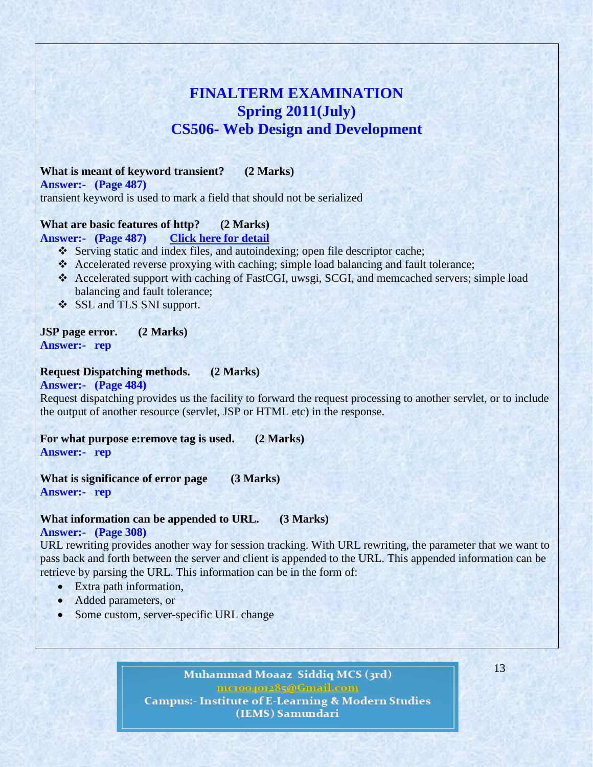## **FINALTERM EXAMINATION Spring 2011(July) CS506- Web Design and Development**

### **What is meant of keyword transient? (2 Marks)**

**Answer:- (Page 487)**

transient keyword is used to mark a field that should not be serialized

### **What are basic features of http? (2 Marks)**

#### **Answer:- (Page 487) [Click here for detail](http://nginx.org/en/#basic_http_features)**

- \* Serving static and index files, and autoindexing; open file descriptor cache;
- Accelerated reverse proxying with caching; simple load balancing and fault tolerance;
- Accelerated support with caching of FastCGI, uwsgi, SCGI, and memcached servers; simple load balancing and fault tolerance;
- SSL and TLS SNI support.

### **JSP page error. (2 Marks)**

**Answer:- rep**

### **Request Dispatching methods. (2 Marks)**

#### **Answer:- (Page 484)**

Request dispatching provides us the facility to forward the request processing to another servlet, or to include the output of another resource (servlet, JSP or HTML etc) in the response.

**For what purpose e:remove tag is used. (2 Marks) Answer:- rep**

**What is significance of error page (3 Marks) Answer:- rep**

#### **What information can be appended to URL. (3 Marks)**

#### **Answer:- (Page 308)**

URL rewriting provides another way for session tracking. With URL rewriting, the parameter that we want to pass back and forth between the server and client is appended to the URL. This appended information can be retrieve by parsing the URL. This information can be in the form of:

- Extra path information,
- Added parameters, or
- Some custom, server-specific URL change

Muhammad Moaaz Siddiq MCS (3rd) metoogote85@Cmail.com **Campus:- Institute of E-Learning & Modern Studies** 

(IEMS) Samundari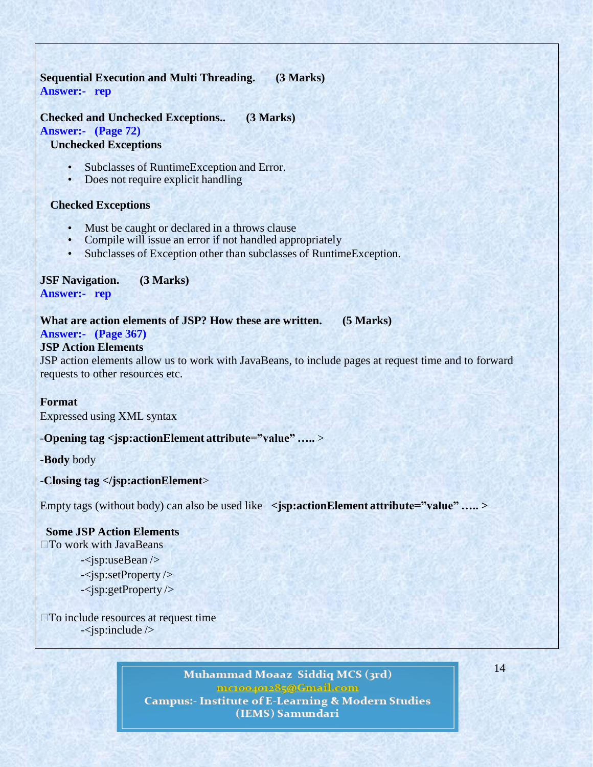### **Sequential Execution and Multi Threading. (3 Marks) Answer:- rep**

### **Checked and Unchecked Exceptions.. (3 Marks)**

**Answer:- (Page 72)**

#### **Unchecked Exceptions**

- Subclasses of RuntimeException and Error.
- Does not require explicit handling

#### **Checked Exceptions**

- Must be caught or declared in a throws clause<br>• Compile will issue an error if not handled apply
- Compile will issue an error if not handled appropriately
- Subclasses of Exception other than subclasses of RuntimeException.

## **JSF Navigation. (3 Marks)**

**Answer:- rep**

**What are action elements of JSP? How these are written. (5 Marks)**

### **Answer:- (Page 367)**

#### **JSP Action Elements**

JSP action elements allow us to work with JavaBeans, to include pages at request time and to forward requests to other resources etc.

#### **Format**

Expressed using XML syntax

-**Opening tag <jsp:actionElement attribute="value" …..** >

-**Body** body

-**Closing tag </jsp:actionElement**>

Empty tags (without body) can also be used like **<jsp:actionElement attribute="value" ….. >**

#### **Some JSP Action Elements**

□To work with JavaBeans

- -<jsp:useBean />
- -<jsp:setProperty />
- -<jsp:getProperty />

□To include resources at request time -<jsp:include />

> Muhammad Moaaz Siddiq MCS (3rd) me.compoz85@Cmail.com **Campus:- Institute of E-Learning & Modern Studies** (IEMS) Samundari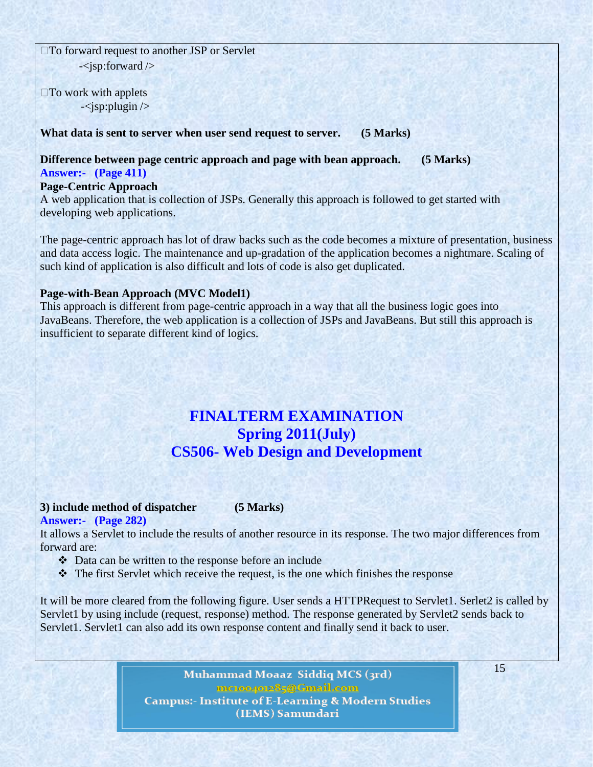□To forward request to another JSP or Servlet  $-\langle$ jsp:forward  $\rangle$ 

 $\square$  To work with applets  $-\langle$ jsp:plugin  $\rangle$ 

**What data is sent to server when user send request to server. (5 Marks)**

**Difference between page centric approach and page with bean approach. (5 Marks) Answer:- (Page 411)**

**Page-Centric Approach**

A web application that is collection of JSPs. Generally this approach is followed to get started with developing web applications.

The page-centric approach has lot of draw backs such as the code becomes a mixture of presentation, business and data access logic. The maintenance and up-gradation of the application becomes a nightmare. Scaling of such kind of application is also difficult and lots of code is also get duplicated.

### **Page-with-Bean Approach (MVC Model1)**

This approach is different from page-centric approach in a way that all the business logic goes into JavaBeans. Therefore, the web application is a collection of JSPs and JavaBeans. But still this approach is insufficient to separate different kind of logics.

## **FINALTERM EXAMINATION Spring 2011(July) CS506- Web Design and Development**

### **3) include method of dispatcher (5 Marks)**

**Answer:- (Page 282)**

It allows a Servlet to include the results of another resource in its response. The two major differences from forward are:

- Data can be written to the response before an include
- The first Servlet which receive the request, is the one which finishes the response

It will be more cleared from the following figure. User sends a HTTPRequest to Servlet1. Serlet2 is called by Servlet1 by using include (request, response) method. The response generated by Servlet2 sends back to Servlet1. Servlet1 can also add its own response content and finally send it back to user.

> Muhammad Moaaz Siddiq MCS (3rd) metoo4ot285@Cmail.com **Campus:- Institute of E-Learning & Modern Studies** (IEMS) Samundari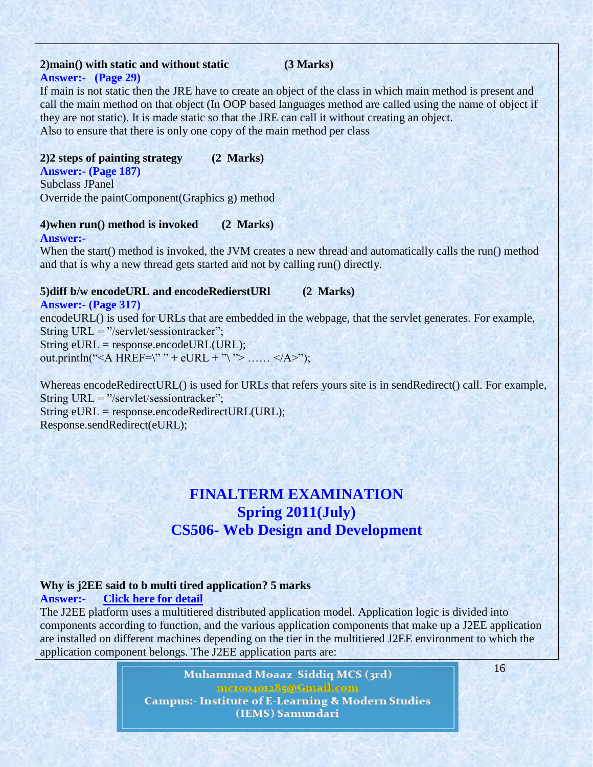# **2)main() with static and without static (3 Marks)**

### **Answer:- (Page 29)**

If main is not static then the JRE have to create an object of the class in which main method is present and call the main method on that object (In OOP based languages method are called using the name of object if they are not static). It is made static so that the JRE can call it without creating an object. Also to ensure that there is only one copy of the main method per class

### **2)2 steps of painting strategy (2 Marks)**

**Answer:- (Page 187)** Subclass JPanel Override the paintComponent(Graphics g) method

### **4)when run() method is invoked (2 Marks)**

When the start() method is invoked, the JVM creates a new thread and automatically calls the run() method and that is why a new thread gets started and not by calling run() directly.

### **5)diff b/w encodeURL and encodeRedierstURl (2 Marks)**

**Answer:- (Page 317)**

**Answer:-** 

encodeURL() is used for URLs that are embedded in the webpage, that the servlet generates. For example, String URL =  $\degree$ /servlet/sessiontracker $\degree$ ;

String eURL = response.encodeURL(URL); out.println("<A HREF=\"" + eURL + "\"> ...... </A>");

Whereas encodeRedirectURL() is used for URLs that refers yours site is in sendRedirect() call. For example, String URL =  $\degree$ /servlet/sessiontracker $\degree$ ; String eURL = response.encodeRedirectURL(URL); Response.sendRedirect(eURL);

## **FINALTERM EXAMINATION Spring 2011(July) CS506- Web Design and Development**

### **Why is j2EE said to b multi tired application? 5 marks**

**Answer:- [Click here for detail](http://www.techinterviews.com/j2ee-interview-questions-and-answers)**

The J2EE platform uses a multitiered distributed application model. Application logic is divided into components according to function, and the various application components that make up a J2EE application are installed on different machines depending on the tier in the multitiered J2EE environment to which the application component belongs. The J2EE application parts are:

> Muhammad Moaaz Siddiq MCS (3rd) metoogote85@Cmail.com **Campus:- Institute of E-Learning & Modern Studies** (IEMS) Samundari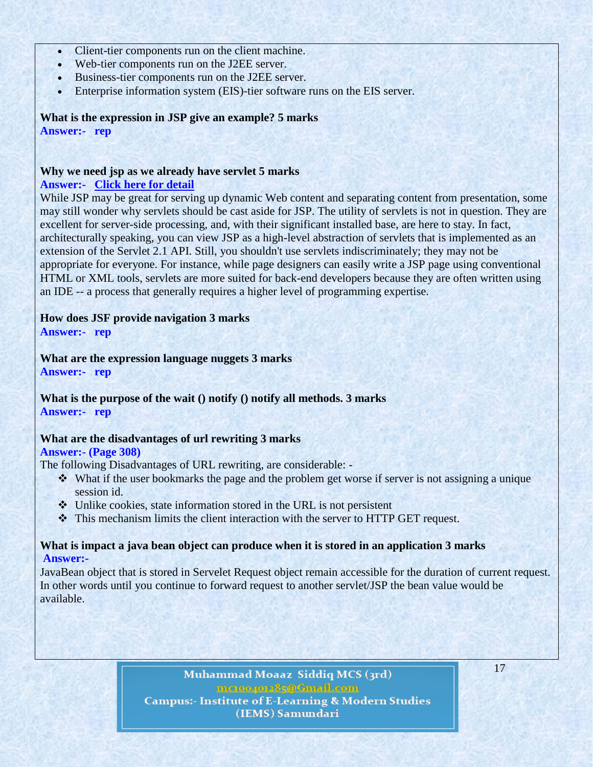- Client-tier components run on the client machine.
- Web-tier components run on the J2EE server.
- Business-tier components run on the J2EE server.
- Enterprise information system (EIS)-tier software runs on the EIS server.

**What is the expression in JSP give an example? 5 marks Answer:- rep**

#### **Why we need jsp as we already have servlet 5 marks Answer:- [Click here for detail](http://www.jguru.com/faq/view.jsp?EID=12776)**

While JSP may be great for serving up dynamic Web content and separating content from presentation, some may still wonder why servlets should be cast aside for JSP. The utility of servlets is not in question. They are excellent for server-side processing, and, with their significant installed base, are here to stay. In fact, architecturally speaking, you can view JSP as a high-level abstraction of servlets that is implemented as an extension of the Servlet 2.1 API. Still, you shouldn't use servlets indiscriminately; they may not be appropriate for everyone. For instance, while page designers can easily write a JSP page using conventional HTML or XML tools, servlets are more suited for back-end developers because they are often written using an IDE -- a process that generally requires a higher level of programming expertise.

### **How does JSF provide navigation 3 marks**

**Answer:- rep**

**What are the expression language nuggets 3 marks Answer:- rep**

**What is the purpose of the wait () notify () notify all methods. 3 marks Answer:- rep**

#### **What are the disadvantages of url rewriting 3 marks**

#### **Answer:- (Page 308)**

The following Disadvantages of URL rewriting, are considerable: -

- What if the user bookmarks the page and the problem get worse if server is not assigning a unique session id.
- Unlike cookies, state information stored in the URL is not persistent
- This mechanism limits the client interaction with the server to HTTP GET request.

#### **What is impact a java bean object can produce when it is stored in an application 3 marks Answer:-**

JavaBean object that is stored in Servelet Request object remain accessible for the duration of current request. In other words until you continue to forward request to another servlet/JSP the bean value would be available.

> Muhammad Moaaz Siddiq MCS (3rd) metoo4ote85@Cmail.com **Campus:- Institute of E-Learning & Modern Studies** (IEMS) Samundari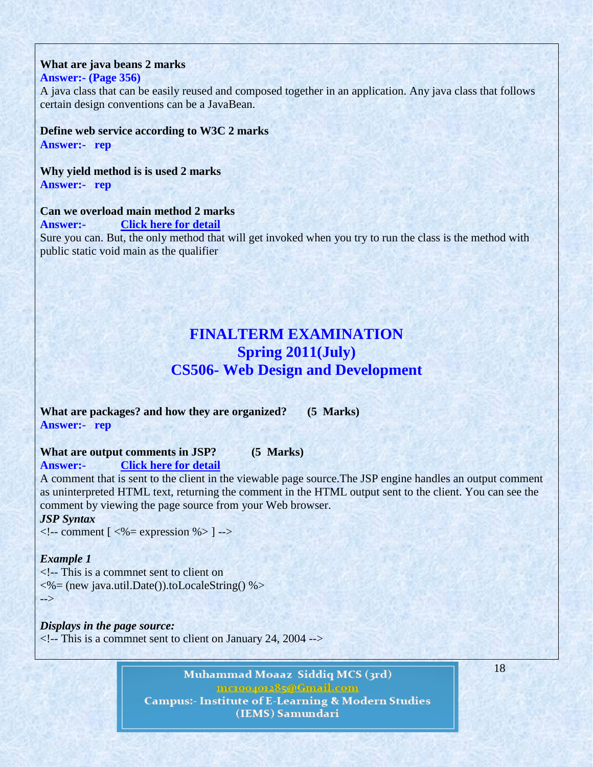#### **What are java beans 2 marks Answer:- (Page 356)**

A java class that can be easily reused and composed together in an application. Any java class that follows certain design conventions can be a JavaBean.

**Define web service according to W3C 2 marks Answer:- rep**

**Why yield method is is used 2 marks Answer:- rep**

### **Can we overload main method 2 marks**

**Answer:- [Click here for detail](http://wiki.answers.com/Q/Can_you_overload_main_method)**

Sure you can. But, the only method that will get invoked when you try to run the class is the method with public static void main as the qualifier

## **FINALTERM EXAMINATION Spring 2011(July) CS506- Web Design and Development**

**What are packages? and how they are organized? (5 Marks) Answer:- rep**

#### **What are output comments in JSP? (5 Marks)**

**Answer:- [Click here for detail](http://www.java-samples.com/showtutorial.php?tutorialid=834)**

A comment that is sent to the client in the viewable page source.The JSP engine handles an output comment as uninterpreted HTML text, returning the comment in the HTML output sent to the client. You can see the comment by viewing the page source from your Web browser.

### *JSP Syntax*

 $\langle$ !-- comment [ $\langle\%$  = expression %>] -->

#### *Example 1*

<!-- This is a commnet sent to client on <%= (new java.util.Date()).toLocaleString() %> -->

*Displays in the page source:*  $\langle$ !-- This is a commnet sent to client on January 24, 2004 -->

> Muhammad Moaaz Siddiq MCS (3rd) metoogote85@Cmail.com **Campus:- Institute of E-Learning & Modern Studies** (IEMS) Samundari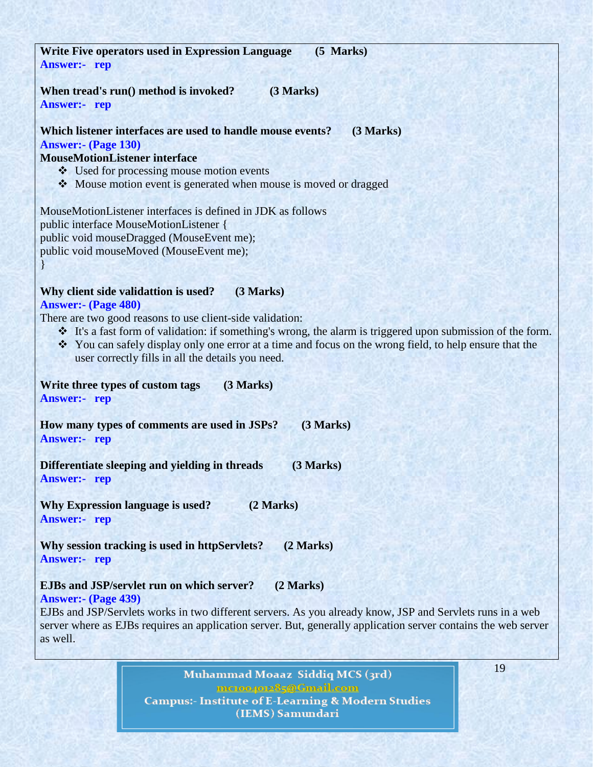| <b>Write Five operators used in Expression Language</b><br>$(5$ Marks)                                                                                                                                                                                         |  |
|----------------------------------------------------------------------------------------------------------------------------------------------------------------------------------------------------------------------------------------------------------------|--|
| <b>Answer:-</b> rep                                                                                                                                                                                                                                            |  |
|                                                                                                                                                                                                                                                                |  |
| When tread's run() method is invoked?<br>(3 Marks)                                                                                                                                                                                                             |  |
| <b>Answer:-</b> rep                                                                                                                                                                                                                                            |  |
|                                                                                                                                                                                                                                                                |  |
| Which listener interfaces are used to handle mouse events?<br>(3 Marks)                                                                                                                                                                                        |  |
| <b>Answer:- (Page 130)</b>                                                                                                                                                                                                                                     |  |
| <b>MouseMotionListener interface</b>                                                                                                                                                                                                                           |  |
| ❖ Used for processing mouse motion events                                                                                                                                                                                                                      |  |
| • Mouse motion event is generated when mouse is moved or dragged                                                                                                                                                                                               |  |
|                                                                                                                                                                                                                                                                |  |
| MouseMotionListener interfaces is defined in JDK as follows                                                                                                                                                                                                    |  |
| public interface MouseMotionListener {                                                                                                                                                                                                                         |  |
| public void mouseDragged (MouseEvent me);                                                                                                                                                                                                                      |  |
| public void mouseMoved (MouseEvent me);                                                                                                                                                                                                                        |  |
|                                                                                                                                                                                                                                                                |  |
| (3 Marks)<br>Why client side validattion is used?                                                                                                                                                                                                              |  |
| <b>Answer:- (Page 480)</b>                                                                                                                                                                                                                                     |  |
| There are two good reasons to use client-side validation:                                                                                                                                                                                                      |  |
| It's a fast form of validation: if something's wrong, the alarm is triggered upon submission of the form.                                                                                                                                                      |  |
| * You can safely display only one error at a time and focus on the wrong field, to help ensure that the                                                                                                                                                        |  |
| user correctly fills in all the details you need.                                                                                                                                                                                                              |  |
|                                                                                                                                                                                                                                                                |  |
| (3 Marks)<br>Write three types of custom tags                                                                                                                                                                                                                  |  |
| <b>Answer:-</b> rep                                                                                                                                                                                                                                            |  |
|                                                                                                                                                                                                                                                                |  |
| (3 Marks)<br>How many types of comments are used in JSPs?                                                                                                                                                                                                      |  |
| <b>Answer:-</b> rep                                                                                                                                                                                                                                            |  |
|                                                                                                                                                                                                                                                                |  |
| Differentiate sleeping and yielding in threads<br>(3 Marks)                                                                                                                                                                                                    |  |
| <b>Answer:-</b> rep                                                                                                                                                                                                                                            |  |
| <b>Why Expression language is used?</b><br>(2 Marks)                                                                                                                                                                                                           |  |
|                                                                                                                                                                                                                                                                |  |
|                                                                                                                                                                                                                                                                |  |
| Why session tracking is used in httpServlets?<br>(2 Marks)                                                                                                                                                                                                     |  |
| <b>Answer:-</b> rep                                                                                                                                                                                                                                            |  |
|                                                                                                                                                                                                                                                                |  |
| <b>EJBs and JSP/servlet run on which server?</b><br>(2 Marks)                                                                                                                                                                                                  |  |
| <b>Answer:- (Page 439)</b>                                                                                                                                                                                                                                     |  |
|                                                                                                                                                                                                                                                                |  |
|                                                                                                                                                                                                                                                                |  |
|                                                                                                                                                                                                                                                                |  |
| <b>Answer:-</b> rep<br>EJBs and JSP/Servlets works in two different servers. As you already know, JSP and Servlets runs in a web<br>server where as EJBs requires an application server. But, generally application server contains the web server<br>as well. |  |

Muhammad Moaaz-Siddiq MCS (3rd) **ENGLOOGE SECTION INCORPORT CAMPUS:- Institute of E-Learning & Modern Studies**<br>(IEMS) Samundari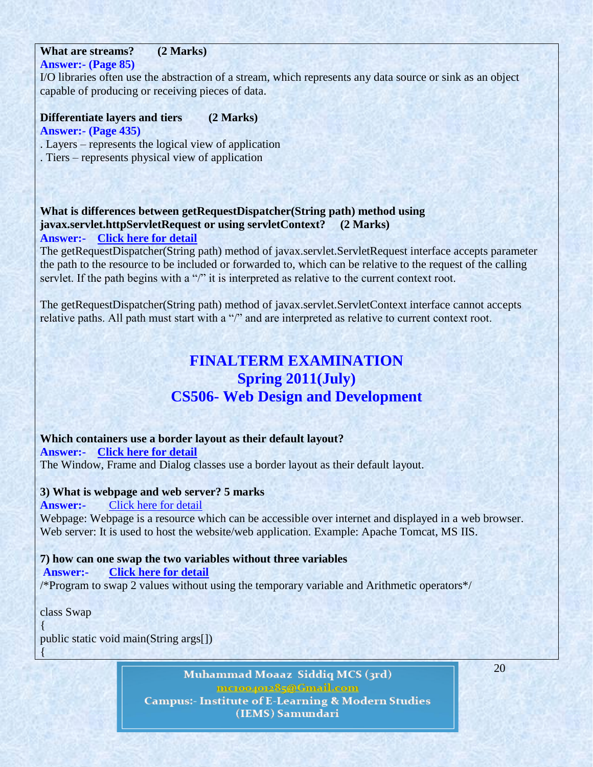## **What are streams? (2 Marks)**

**Answer:- (Page 85)**

I/O libraries often use the abstraction of a stream, which represents any data source or sink as an object capable of producing or receiving pieces of data.

**Differentiate layers and tiers (2 Marks) Answer:- (Page 435)**

. Layers – represents the logical view of application

. Tiers – represents physical view of application

#### **What is differences between getRequestDispatcher(String path) method using javax.servlet.httpServletRequest or using servletContext? (2 Marks) Answer:- [Click here for detail](http://allu.wordpress.com/2006/09/11/difference-between-getrequestdispatcherstring-path-method-of-javaxservletservletrequest-interface-and-javaxservletservletcontext-interface-2/)**

The getRequestDispatcher(String path) method of javax.servlet.ServletRequest interface accepts parameter the path to the resource to be included or forwarded to, which can be relative to the request of the calling servlet. If the path begins with a "/" it is interpreted as relative to the current context root.

The getRequestDispatcher(String path) method of javax.servlet.ServletContext interface cannot accepts relative paths. All path must start with a "/" and are interpreted as relative to current context root.

## **FINALTERM EXAMINATION Spring 2011(July) CS506- Web Design and Development**

**Which containers use a border layout as their default layout? Answer:- [Click here for detail](http://debuggingquestions.blogspot.com/2010/11/which-containers-use-border-layout-as.html)** The Window, Frame and Dialog classes use a border layout as their default layout.

#### **3) What is webpage and web server? 5 marks**

**Answer:-** [Click here for detail](http://www.coolinterview.com/interview/11702/)

Webpage: Webpage is a resource which can be accessible over internet and displayed in a web browser. Web server: It is used to host the website/web application. Example: Apache Tomcat, MS IIS.

### **7) how can one swap the two variables without three variables**

**Answer:- [Click here for detail](http://wiki.answers.com/Q/How_do_you_swap_two_variables_in_JAVA_without_using_a_third_one)**

/\*Program to swap 2 values without using the temporary variable and Arithmetic operators\*/

class Swap

{

{ public static void main(String args[])

> Muhammad Moaaz Siddiq MCS (3rd) mcrocroce85@Cmail.com **Campus:- Institute of E-Learning & Modern Studies** (IEMS) Samundari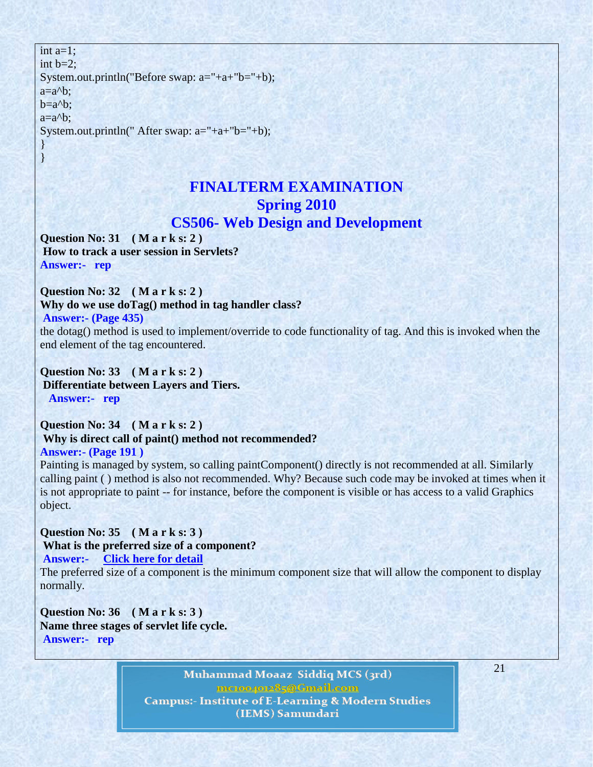int  $a=1$ : int  $b=2$ : System.out.println("Before swap: a="+a+"b="+b);  $a=a<sup>0</sup>b$ ;  $b=a^b$ :  $a=a^{-b}$ : System.out.println(" After swap: a="+a+"b="+b);

## **FINALTERM EXAMINATION Spring 2010 CS506- Web Design and Development**

**Question No: 31 ( M a r k s: 2 ) How to track a user session in Servlets? Answer:- rep**

### **Question No: 32 ( M a r k s: 2 )**

**Why do we use doTag() method in tag handler class?**

```
Answer:- (Page 435)
```
} }

the dotag() method is used to implement/override to code functionality of tag. And this is invoked when the end element of the tag encountered.

**Question No: 33 ( M a r k s: 2 ) Differentiate between Layers and Tiers. Answer:- rep**

### **Question No: 34 ( M a r k s: 2 ) Why is direct call of paint() method not recommended? Answer:- (Page 191 )**

Painting is managed by system, so calling paintComponent() directly is not recommended at all. Similarly calling paint ( ) method is also not recommended. Why? Because such code may be invoked at times when it is not appropriate to paint -- for instance, before the component is visible or has access to a valid Graphics object.

**Question No: 35 ( M a r k s: 3 ) What is the preferred size of a component?**

**Answer:- [Click here for detail](http://www.coolinterview.com/interview/25197/)**

The preferred size of a component is the minimum component size that will allow the component to display normally.

**Question No: 36 ( M a r k s: 3 ) Name three stages of servlet life cycle. Answer:- rep**

> Muhammad Moaaz Siddiq MCS (3rd) metoopote85@Gmail.com **Campus:- Institute of E-Learning & Modern Studies** (IEMS) Samundari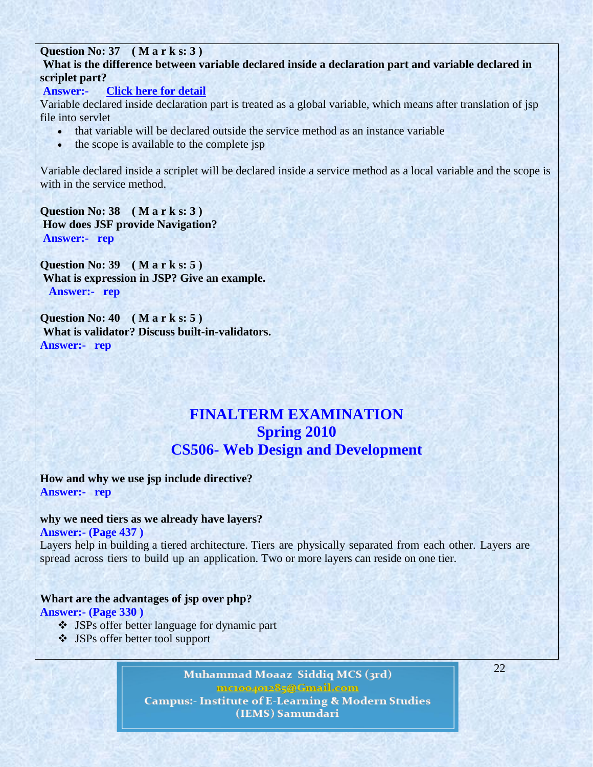### **Question No: 37 ( M a r k s: 3 )**

**What is the difference between variable declared inside a declaration part and variable declared in scriplet part?**

#### **Answer:- [Click here for detail](http://wiki.answers.com/Q/What_is_the_difference_between_variable_declared_inside_the_declaration_part_and_variable_declared_in_scriptlet_part)**

Variable declared inside declaration part is treated as a global variable, which means after translation of jsp file into servlet

- that variable will be declared outside the service method as an instance variable
- the scope is available to the complete jsp

Variable declared inside a scriplet will be declared inside a service method as a local variable and the scope is with in the service method.

**Question No: 38 ( M a r k s: 3 ) How does JSF provide Navigation? Answer:- rep**

**Question No: 39 ( M a r k s: 5 ) What is expression in JSP? Give an example. Answer:- rep**

**Question No: 40 ( M a r k s: 5 ) What is validator? Discuss built-in-validators. Answer:- rep**

## **FINALTERM EXAMINATION Spring 2010 CS506- Web Design and Development**

**How and why we use jsp include directive? Answer:- rep**

#### **why we need tiers as we already have layers?**

**Answer:- (Page 437 )** 

Layers help in building a tiered architecture. Tiers are physically separated from each other. Layers are spread across tiers to build up an application. Two or more layers can reside on one tier.

### **Whart are the advantages of jsp over php?**

**Answer:- (Page 330 )** 

- JSPs offer better language for dynamic part
- JSPs offer better tool support

Muhammad Moaaz Siddiq MCS (3rd) metoo4ote85@Cmail.com **Campus:- Institute of E-Learning & Modern Studies** (IEMS) Samundari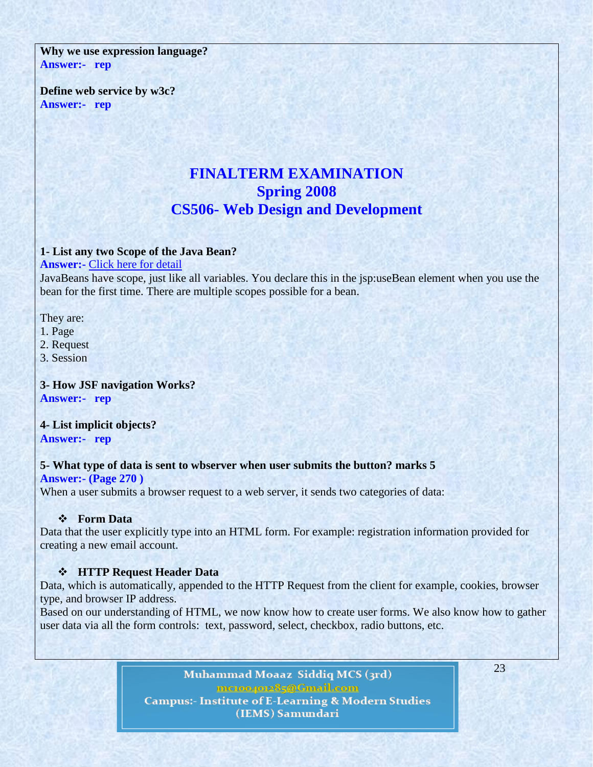**Why we use expression language? Answer:- rep**

**Define web service by w3c? Answer:- rep**

## **FINALTERM EXAMINATION Spring 2008 CS506- Web Design and Development**

#### **1- List any two Scope of the Java Bean?**

**Answer:-** [Click here for detail](http://inheritingjava.blogspot.com/2011/04/chapter-42-scope-of-javabeans-in-jsp.html)

JavaBeans have scope, just like all variables. You declare this in the jsp:useBean element when you use the bean for the first time. There are multiple scopes possible for a bean.

They are:

- 1. Page
- 2. Request
- 3. Session

**3- How JSF navigation Works? Answer:- rep**

**4- List implicit objects? Answer:- rep**

#### **5- What type of data is sent to wbserver when user submits the button? marks 5 Answer:- (Page 270 )**

When a user submits a browser request to a web server, it sends two categories of data:

#### **Form Data**

Data that the user explicitly type into an HTML form. For example: registration information provided for creating a new email account.

#### **HTTP Request Header Data**

Data, which is automatically, appended to the HTTP Request from the client for example, cookies, browser type, and browser IP address.

Based on our understanding of HTML, we now know how to create user forms. We also know how to gather user data via all the form controls: text, password, select, checkbox, radio buttons, etc.

> Muhammad Moaaz Siddiq MCS (3rd) metoogote85@Cmail.com **Campus:- Institute of E-Learning & Modern Studies** (IEMS) Samundari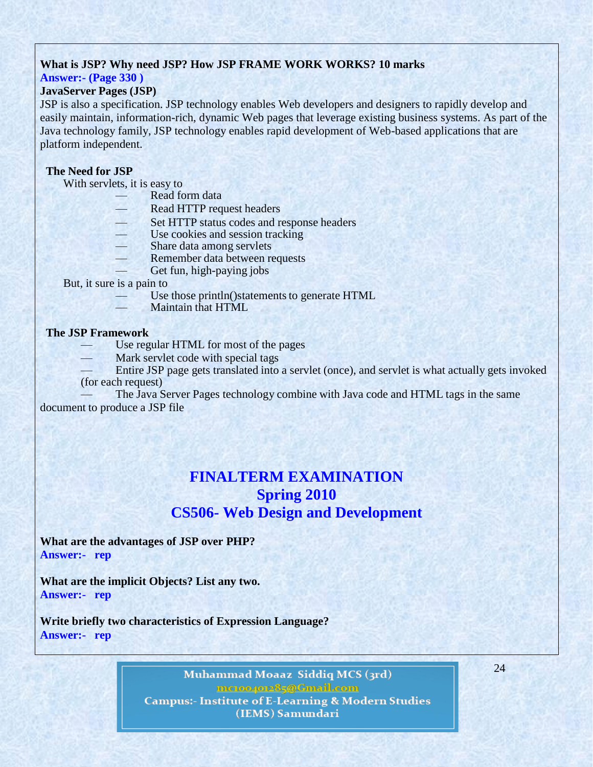### **What is JSP? Why need JSP? How JSP FRAME WORK WORKS? 10 marks**

## **Answer:- (Page 330 )**

### **JavaServer Pages (JSP)**

JSP is also a specification. JSP technology enables Web developers and designers to rapidly develop and easily maintain, information-rich, dynamic Web pages that leverage existing business systems. As part of the Java technology family, JSP technology enables rapid development of Web-based applications that are platform independent.

#### **The Need for JSP**

With servlets, it is easy to

- Read form data
- Read HTTP request headers
- Set HTTP status codes and response headers
- Use cookies and session tracking
- Share data among servlets
- Remember data between requests
- Get fun, high-paying jobs

But, it sure is a pain to

- Use those println()statements to generate HTML
- Maintain that HTML.

#### **The JSP Framework**

- Use regular HTML for most of the pages
- Mark servlet code with special tags
- Entire JSP page gets translated into a servlet (once), and servlet is what actually gets invoked (for each request)

The Java Server Pages technology combine with Java code and HTML tags in the same document to produce a JSP file

## **FINALTERM EXAMINATION Spring 2010 CS506- Web Design and Development**

**What are the advantages of JSP over PHP? Answer:- rep**

**What are the implicit Objects? List any two. Answer:- rep**

**Write briefly two characteristics of Expression Language? Answer:- rep**

> Muhammad Moaaz Siddiq MCS (3rd) metoogote85@Cmail.com **Campus:- Institute of E-Learning & Modern Studies** (IEMS) Samundari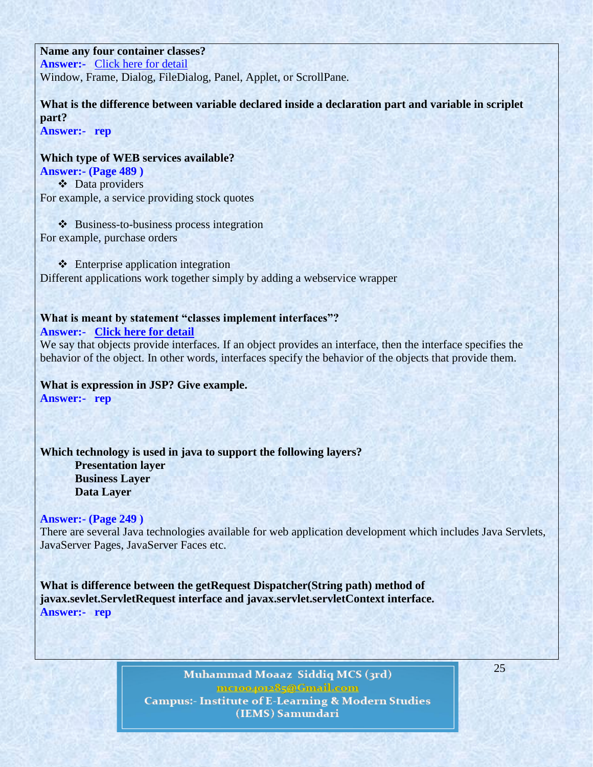**Name any four container classes? Answer:-** [Click here for detail](http://www.coolinterview.com/interview/534/) Window, Frame, Dialog, FileDialog, Panel, Applet, or ScrollPane.

**What is the difference between variable declared inside a declaration part and variable in scriplet part?**

**Answer:- rep**

**Which type of WEB services available? Answer:- (Page 489 )**  Data providers For example, a service providing stock quotes

❖ Business-to-business process integration For example, purchase orders

 $\triangleleft$  Enterprise application integration Different applications work together simply by adding a webservice wrapper

## **What is meant by statement "classes implement interfaces"?**

**Answer:- [Click here for detail](http://apidoc.zope.org/++apidoc++/Book/ifaceschema/interface/show.html)**

We say that objects provide interfaces. If an object provides an interface, then the interface specifies the behavior of the object. In other words, interfaces specify the behavior of the objects that provide them.

**What is expression in JSP? Give example. Answer:- rep**

**Which technology is used in java to support the following layers? Presentation layer Business Layer Data Layer**

**Answer:- (Page 249 )** 

There are several Java technologies available for web application development which includes Java Servlets, JavaServer Pages, JavaServer Faces etc.

**What is difference between the getRequest Dispatcher(String path) method of javax.sevlet.ServletRequest interface and javax.servlet.servletContext interface. Answer:- rep**

> Muhammad Moaaz Siddiq MCS (3rd) metoo4ote85@Cmail.com **Campus:- Institute of E-Learning & Modern Studies** (IEMS) Samundari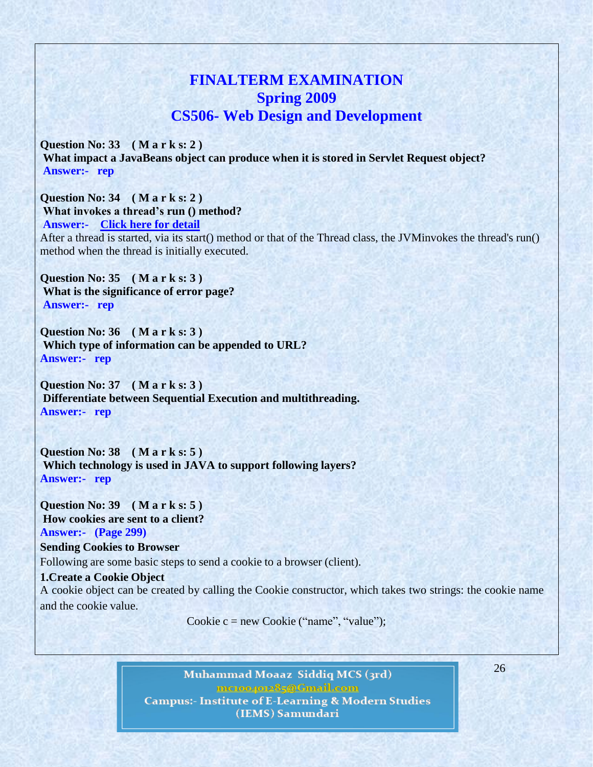## **FINALTERM EXAMINATION Spring 2009 CS506- Web Design and Development**

**Question No: 33 ( M a r k s: 2 ) What impact a JavaBeans object can produce when it is stored in Servlet Request object? Answer:- rep**

**Question No: 34 ( M a r k s: 2 ) What invokes a thread's run () method? Answer:- [Click here for detail](http://www.geekinterview.com/question_details/54)** After a thread is started, via its start() method or that of the Thread class, the JVMinvokes the thread's run() method when the thread is initially executed.

**Question No: 35 ( M a r k s: 3 ) What is the significance of error page? Answer:- rep**

**Question No: 36 ( M a r k s: 3 ) Which type of information can be appended to URL? Answer:- rep**

**Question No: 37 ( M a r k s: 3 ) Differentiate between Sequential Execution and multithreading. Answer:- rep**

**Question No: 38 ( M a r k s: 5 ) Which technology is used in JAVA to support following layers? Answer:- rep**

**Question No: 39 ( M a r k s: 5 ) How cookies are sent to a client? Answer:- (Page 299)**

**Sending Cookies to Browser** Following are some basic steps to send a cookie to a browser (client).

**1.Create a Cookie Object** A cookie object can be created by calling the Cookie constructor, which takes two strings: the cookie name and the cookie value.

Cookie c = new Cookie ("name", "value");

Muhammad Moaaz Siddiq MCS (3rd) metoogote85@Cmail.com **Campus:- Institute of E-Learning & Modern Studies** (IEMS) Samundari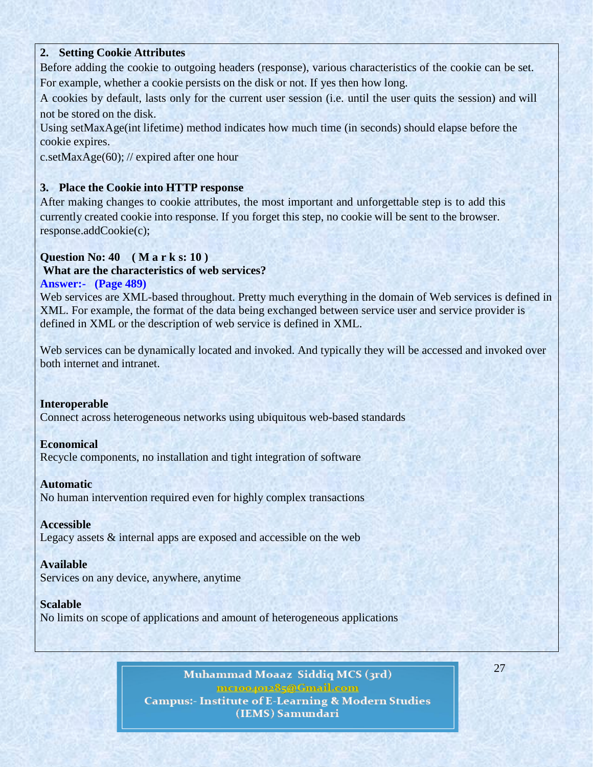### **2. Setting Cookie Attributes**

Before adding the cookie to outgoing headers (response), various characteristics of the cookie can be set. For example, whether a cookie persists on the disk or not. If yes then how long.

A cookies by default, lasts only for the current user session (i.e. until the user quits the session) and will not be stored on the disk.

Using setMaxAge(int lifetime) method indicates how much time (in seconds) should elapse before the cookie expires.

c.setMaxAge(60); // expired after one hour

### **3. Place the Cookie into HTTP response**

After making changes to cookie attributes, the most important and unforgettable step is to add this currently created cookie into response. If you forget this step, no cookie will be sent to the browser. response.addCookie(c);

### **Question No: 40 ( M a r k s: 10 )**

### **What are the characteristics of web services?**

#### **Answer:- (Page 489)**

Web services are XML-based throughout. Pretty much everything in the domain of Web services is defined in XML. For example, the format of the data being exchanged between service user and service provider is defined in XML or the description of web service is defined in XML.

Web services can be dynamically located and invoked. And typically they will be accessed and invoked over both internet and intranet.

#### **Interoperable**

Connect across heterogeneous networks using ubiquitous web-based standards

#### **Economical**

Recycle components, no installation and tight integration of software

#### **Automatic**

No human intervention required even for highly complex transactions

#### **Accessible**

Legacy assets & internal apps are exposed and accessible on the web

#### **Available**

Services on any device, anywhere, anytime

### **Scalable**

No limits on scope of applications and amount of heterogeneous applications

Muhammad Moaaz Siddiq MCS (3rd) metoopote85@Gmail.com **Campus:- Institute of E-Learning & Modern Studies** (IEMS) Samundari